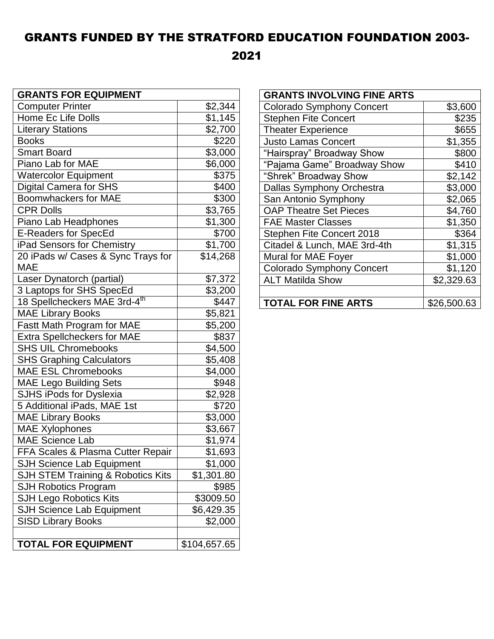## GRANTS FUNDED BY THE STRATFORD EDUCATION FOUNDATION 2003-

2021

| <b>GRANTS FOR EQUIPMENT</b>              |                     |
|------------------------------------------|---------------------|
| <b>Computer Printer</b>                  | \$2,344             |
| Home Ec Life Dolls                       | \$1,145             |
| <b>Literary Stations</b>                 | \$2,700             |
| <b>Books</b>                             | \$220               |
| <b>Smart Board</b>                       | \$3,000             |
| Piano Lab for MAE                        | \$6,000             |
| <b>Watercolor Equipment</b>              | \$375               |
| <b>Digital Camera for SHS</b>            | \$400               |
| <b>Boomwhackers for MAE</b>              | \$300               |
| <b>CPR Dolls</b>                         | $\overline{$3,765}$ |
| Piano Lab Headphones                     | \$1,300             |
| <b>E-Readers for SpecEd</b>              | \$700               |
| iPad Sensors for Chemistry               | \$1,700             |
| 20 iPads w/ Cases & Sync Trays for       | \$14,268            |
| <b>MAE</b>                               |                     |
| Laser Dynatorch (partial)                | \$7,372             |
| 3 Laptops for SHS SpecEd                 | \$3,200             |
| 18 Spellcheckers MAE 3rd-4 <sup>th</sup> | \$447               |
| <b>MAE Library Books</b>                 | \$5,821             |
| Fastt Math Program for MAE               | \$5,200             |
| <b>Extra Spellcheckers for MAE</b>       | \$837               |
| <b>SHS UIL Chromebooks</b>               | \$4,500             |
| <b>SHS Graphing Calculators</b>          | \$5,408             |
| <b>MAE ESL Chromebooks</b>               | \$4,000             |
| <b>MAE Lego Building Sets</b>            | \$948               |
| SJHS iPods for Dyslexia                  | \$2,928             |
| 5 Additional iPads, MAE 1st              | \$720               |
| <b>MAE Library Books</b>                 | \$3,000             |
| <b>MAE Xylophones</b>                    | \$3,667             |
| <b>MAE Science Lab</b>                   | \$1,974             |
| FFA Scales & Plasma Cutter Repair        | \$1,693             |
| <b>SJH Science Lab Equipment</b>         | \$1,000             |
| SJH STEM Training & Robotics Kits        | \$1,301.80          |
| <b>SJH Robotics Program</b>              | \$985               |
| <b>SJH Lego Robotics Kits</b>            | \$3009.50           |
| <b>SJH Science Lab Equipment</b>         | \$6,429.35          |
| <b>SISD Library Books</b>                | \$2,000             |
|                                          |                     |
| <b>TOTAL FOR EQUIPMENT</b>               | \$104,657.65        |

| <b>GRANTS INVOLVING FINE ARTS</b> |             |
|-----------------------------------|-------------|
| <b>Colorado Symphony Concert</b>  | \$3,600     |
| <b>Stephen Fite Concert</b>       | \$235       |
| <b>Theater Experience</b>         | \$655       |
| <b>Justo Lamas Concert</b>        | \$1,355     |
| "Hairspray" Broadway Show         | \$800       |
| "Pajama Game" Broadway Show       | \$410       |
| "Shrek" Broadway Show             | \$2,142     |
| <b>Dallas Symphony Orchestra</b>  | \$3,000     |
| San Antonio Symphony              | \$2,065     |
| <b>OAP Theatre Set Pieces</b>     | \$4,760     |
| <b>FAE Master Classes</b>         | \$1,350     |
| <b>Stephen Fite Concert 2018</b>  | \$364       |
| Citadel & Lunch, MAE 3rd-4th      | \$1,315     |
| Mural for MAE Foyer               | \$1,000     |
| <b>Colorado Symphony Concert</b>  | \$1,120     |
| <b>ALT Matilda Show</b>           | \$2,329.63  |
|                                   |             |
| <b>TOTAL FOR FINE ARTS</b>        | \$26,500.63 |